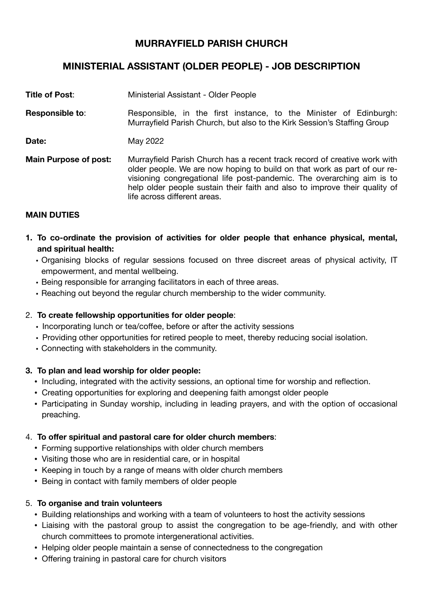## **MURRAYFIELD PARISH CHURCH**

# **MINISTERIAL ASSISTANT (OLDER PEOPLE) - JOB DESCRIPTION**

- **Title of Post**: Ministerial Assistant Older People
- **Responsible to:** Responsible, in the first instance, to the Minister of Edinburgh: Murrayfield Parish Church, but also to the Kirk Session's Staffing Group
- **Date: May 2022**
- **Main Purpose of post:** Murrayfield Parish Church has a recent track record of creative work with older people. We are now hoping to build on that work as part of our revisioning congregational life post-pandemic. The overarching aim is to help older people sustain their faith and also to improve their quality of life across different areas.

#### **MAIN DUTIES**

- **1. To co-ordinate the provision of activities for older people that enhance physical, mental, and spiritual health:** 
	- Organising blocks of regular sessions focused on three discreet areas of physical activity, IT empowerment, and mental wellbeing.
	- Being responsible for arranging facilitators in each of three areas.
	- Reaching out beyond the regular church membership to the wider community.

#### 2. **To create fellowship opportunities for older people**:

- Incorporating lunch or tea/coffee, before or after the activity sessions
- Providing other opportunities for retired people to meet, thereby reducing social isolation.
- Connecting with stakeholders in the community.

#### **3. To plan and lead worship for older people:**

- Including, integrated with the activity sessions, an optional time for worship and reflection.
- Creating opportunities for exploring and deepening faith amongst older people
- Participating in Sunday worship, including in leading prayers, and with the option of occasional preaching.

#### 4. **To offer spiritual and pastoral care for older church members**:

- Forming supportive relationships with older church members
- Visiting those who are in residential care, or in hospital
- Keeping in touch by a range of means with older church members
- Being in contact with family members of older people

#### 5. **To organise and train volunteers**

- Building relationships and working with a team of volunteers to host the activity sessions
- Liaising with the pastoral group to assist the congregation to be age-friendly, and with other church committees to promote intergenerational activities.
- Helping older people maintain a sense of connectedness to the congregation
- Offering training in pastoral care for church visitors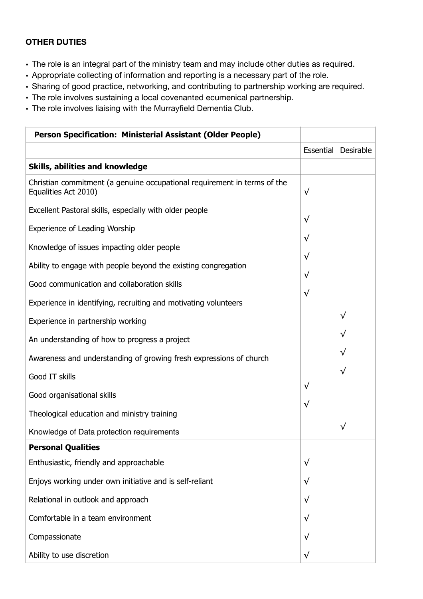### **OTHER DUTIES**

- The role is an integral part of the ministry team and may include other duties as required.
- Appropriate collecting of information and reporting is a necessary part of the role.
- Sharing of good practice, networking, and contributing to partnership working are required.
- The role involves sustaining a local covenanted ecumenical partnership.
- The role involves liaising with the Murrayfield Dementia Club.

| Person Specification: Ministerial Assistant (Older People)                                       |           |           |
|--------------------------------------------------------------------------------------------------|-----------|-----------|
|                                                                                                  | Essential | Desirable |
| Skills, abilities and knowledge                                                                  |           |           |
| Christian commitment (a genuine occupational requirement in terms of the<br>Equalities Act 2010) | $\sqrt{}$ |           |
| Excellent Pastoral skills, especially with older people                                          |           |           |
| <b>Experience of Leading Worship</b>                                                             | $\sqrt{}$ |           |
| Knowledge of issues impacting older people                                                       | $\sqrt{}$ |           |
| Ability to engage with people beyond the existing congregation                                   | $\sqrt{}$ |           |
| Good communication and collaboration skills                                                      | $\sqrt{}$ |           |
| Experience in identifying, recruiting and motivating volunteers                                  | $\sqrt{}$ |           |
| Experience in partnership working                                                                |           | $\sqrt{}$ |
| An understanding of how to progress a project                                                    |           | $\sqrt{}$ |
| Awareness and understanding of growing fresh expressions of church                               |           | $\sqrt{}$ |
| Good IT skills                                                                                   |           | $\sqrt{}$ |
| Good organisational skills                                                                       | $\sqrt{}$ |           |
| Theological education and ministry training                                                      | $\sqrt{}$ |           |
|                                                                                                  |           | $\sqrt{}$ |
| Knowledge of Data protection requirements                                                        |           |           |
| <b>Personal Qualities</b>                                                                        |           |           |
| Enthusiastic, friendly and approachable                                                          | $\sqrt{}$ |           |
| Enjoys working under own initiative and is self-reliant                                          | $\sqrt{}$ |           |
| Relational in outlook and approach                                                               | $\sqrt{}$ |           |
| Comfortable in a team environment                                                                | $\sqrt{}$ |           |
| Compassionate                                                                                    | √         |           |
| Ability to use discretion                                                                        | $\sqrt{}$ |           |